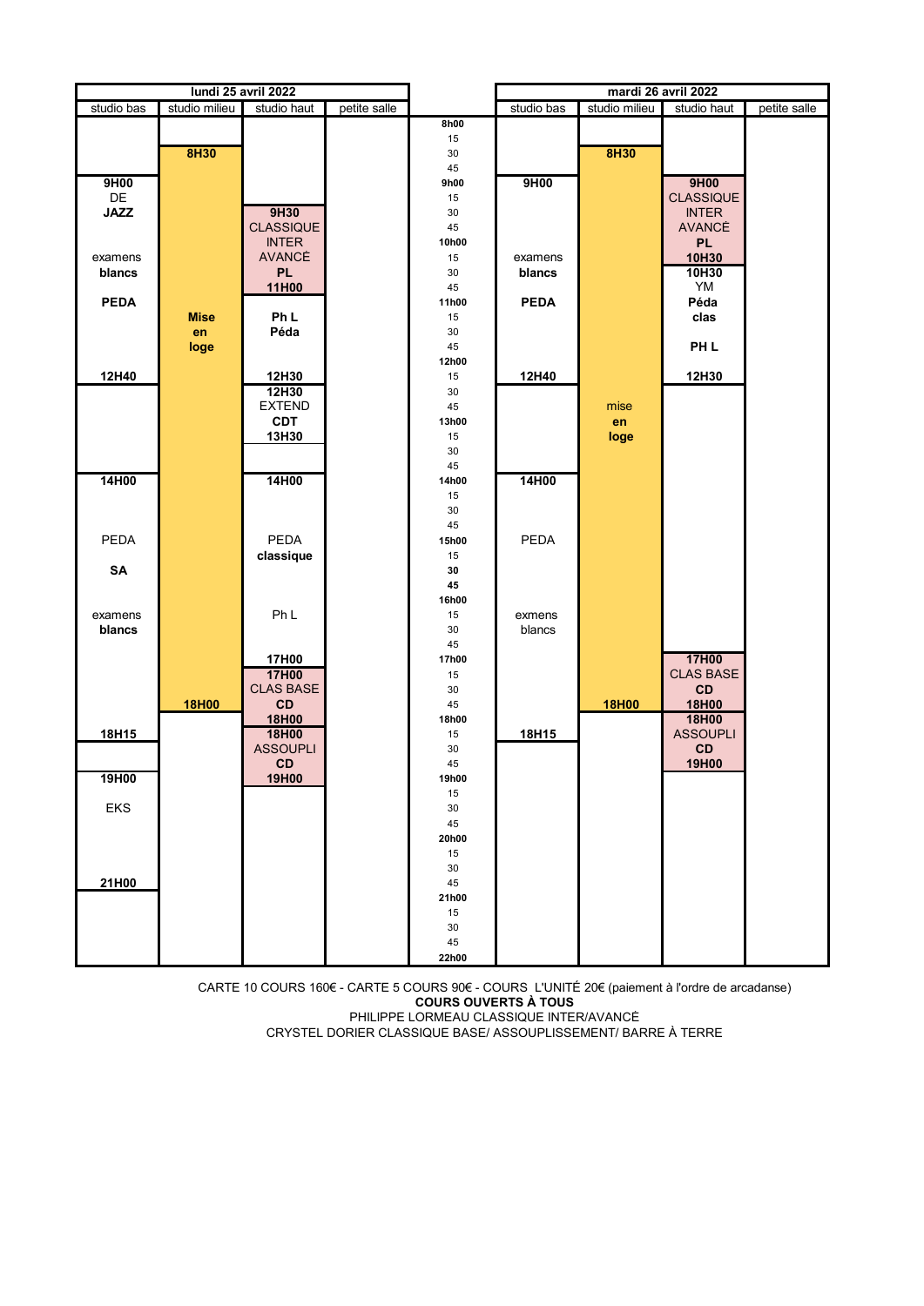| studio bas<br>studio milieu<br>studio bas<br>studio milieu<br>studio haut<br>petite salle<br>petite salle<br>studio haut<br>8h00<br>15<br>8H30<br>8H30<br>30<br>45<br>9H00<br>9H00<br>9H00<br>9h00<br>DE<br><b>CLASSIQUE</b><br>15<br><b>INTER</b><br><b>JAZZ</b><br>9H30<br>30<br><b>CLASSIQUE</b><br><b>AVANCÉ</b><br>45<br><b>INTER</b><br>10h00<br><b>PL</b><br><b>AVANCÉ</b><br>10H30<br>15<br>examens<br>examens<br><b>PL</b><br>10H30<br>30<br>blancs<br>blancs<br>YM<br>11H00<br>45<br><b>PEDA</b><br>Péda<br><b>PEDA</b><br>11h00<br>Ph L<br><b>Mise</b><br>15<br>clas<br>Péda<br>30<br>en<br>PH <sub>L</sub><br>45<br>loge<br>12h00<br>12H40<br>12H30<br>12H30<br>15<br>12H40<br>12H30<br>30<br><b>EXTEND</b><br>45<br>mise<br><b>CDT</b><br>en<br>13h00<br>13H30<br>15<br>loge<br>30<br>45<br>14H00<br>14H00<br>14H00<br>14h00<br>15<br>30<br>45<br>PEDA<br><b>PEDA</b><br><b>PEDA</b><br>15h00<br>classique<br>15<br>SA<br>30<br>45<br>16h00<br>Ph <sub>L</sub><br>15<br>examens<br>exmens<br>blancs<br>blancs<br>30<br>45<br>17H00<br>17h00<br>17H00<br><b>CLAS BASE</b><br>17H00<br>15<br>CD<br><b>CLAS BASE</b><br>30<br>CD<br>18H00<br>45<br>18H00<br>18H00<br>18H00<br>18H00<br>18h00<br><b>ASSOUPLI</b><br>18H15<br>18H00<br>15<br>18H15<br><b>ASSOUPLI</b><br>CD<br>30<br>19H00<br>CD<br>45<br>19H00<br><u> 19H00</u><br>19h00<br>15<br>EKS<br>30<br>45<br>20h00<br>15<br>30<br>21H00<br>45<br>21h00<br>15<br>30<br>45 | lundi 25 avril 2022 |  |  | mardi 26 avril 2022 |  |  |  |  |
|-------------------------------------------------------------------------------------------------------------------------------------------------------------------------------------------------------------------------------------------------------------------------------------------------------------------------------------------------------------------------------------------------------------------------------------------------------------------------------------------------------------------------------------------------------------------------------------------------------------------------------------------------------------------------------------------------------------------------------------------------------------------------------------------------------------------------------------------------------------------------------------------------------------------------------------------------------------------------------------------------------------------------------------------------------------------------------------------------------------------------------------------------------------------------------------------------------------------------------------------------------------------------------------------------------------------------------------------------------------------------------------------------------------------------------------------|---------------------|--|--|---------------------|--|--|--|--|
|                                                                                                                                                                                                                                                                                                                                                                                                                                                                                                                                                                                                                                                                                                                                                                                                                                                                                                                                                                                                                                                                                                                                                                                                                                                                                                                                                                                                                                           |                     |  |  |                     |  |  |  |  |
|                                                                                                                                                                                                                                                                                                                                                                                                                                                                                                                                                                                                                                                                                                                                                                                                                                                                                                                                                                                                                                                                                                                                                                                                                                                                                                                                                                                                                                           |                     |  |  |                     |  |  |  |  |
|                                                                                                                                                                                                                                                                                                                                                                                                                                                                                                                                                                                                                                                                                                                                                                                                                                                                                                                                                                                                                                                                                                                                                                                                                                                                                                                                                                                                                                           |                     |  |  |                     |  |  |  |  |
|                                                                                                                                                                                                                                                                                                                                                                                                                                                                                                                                                                                                                                                                                                                                                                                                                                                                                                                                                                                                                                                                                                                                                                                                                                                                                                                                                                                                                                           |                     |  |  |                     |  |  |  |  |
|                                                                                                                                                                                                                                                                                                                                                                                                                                                                                                                                                                                                                                                                                                                                                                                                                                                                                                                                                                                                                                                                                                                                                                                                                                                                                                                                                                                                                                           |                     |  |  |                     |  |  |  |  |
|                                                                                                                                                                                                                                                                                                                                                                                                                                                                                                                                                                                                                                                                                                                                                                                                                                                                                                                                                                                                                                                                                                                                                                                                                                                                                                                                                                                                                                           |                     |  |  |                     |  |  |  |  |
|                                                                                                                                                                                                                                                                                                                                                                                                                                                                                                                                                                                                                                                                                                                                                                                                                                                                                                                                                                                                                                                                                                                                                                                                                                                                                                                                                                                                                                           |                     |  |  |                     |  |  |  |  |
|                                                                                                                                                                                                                                                                                                                                                                                                                                                                                                                                                                                                                                                                                                                                                                                                                                                                                                                                                                                                                                                                                                                                                                                                                                                                                                                                                                                                                                           |                     |  |  |                     |  |  |  |  |
|                                                                                                                                                                                                                                                                                                                                                                                                                                                                                                                                                                                                                                                                                                                                                                                                                                                                                                                                                                                                                                                                                                                                                                                                                                                                                                                                                                                                                                           |                     |  |  |                     |  |  |  |  |
|                                                                                                                                                                                                                                                                                                                                                                                                                                                                                                                                                                                                                                                                                                                                                                                                                                                                                                                                                                                                                                                                                                                                                                                                                                                                                                                                                                                                                                           |                     |  |  |                     |  |  |  |  |
|                                                                                                                                                                                                                                                                                                                                                                                                                                                                                                                                                                                                                                                                                                                                                                                                                                                                                                                                                                                                                                                                                                                                                                                                                                                                                                                                                                                                                                           |                     |  |  |                     |  |  |  |  |
|                                                                                                                                                                                                                                                                                                                                                                                                                                                                                                                                                                                                                                                                                                                                                                                                                                                                                                                                                                                                                                                                                                                                                                                                                                                                                                                                                                                                                                           |                     |  |  |                     |  |  |  |  |
|                                                                                                                                                                                                                                                                                                                                                                                                                                                                                                                                                                                                                                                                                                                                                                                                                                                                                                                                                                                                                                                                                                                                                                                                                                                                                                                                                                                                                                           |                     |  |  |                     |  |  |  |  |
|                                                                                                                                                                                                                                                                                                                                                                                                                                                                                                                                                                                                                                                                                                                                                                                                                                                                                                                                                                                                                                                                                                                                                                                                                                                                                                                                                                                                                                           |                     |  |  |                     |  |  |  |  |
|                                                                                                                                                                                                                                                                                                                                                                                                                                                                                                                                                                                                                                                                                                                                                                                                                                                                                                                                                                                                                                                                                                                                                                                                                                                                                                                                                                                                                                           |                     |  |  |                     |  |  |  |  |
|                                                                                                                                                                                                                                                                                                                                                                                                                                                                                                                                                                                                                                                                                                                                                                                                                                                                                                                                                                                                                                                                                                                                                                                                                                                                                                                                                                                                                                           |                     |  |  |                     |  |  |  |  |
|                                                                                                                                                                                                                                                                                                                                                                                                                                                                                                                                                                                                                                                                                                                                                                                                                                                                                                                                                                                                                                                                                                                                                                                                                                                                                                                                                                                                                                           |                     |  |  |                     |  |  |  |  |
|                                                                                                                                                                                                                                                                                                                                                                                                                                                                                                                                                                                                                                                                                                                                                                                                                                                                                                                                                                                                                                                                                                                                                                                                                                                                                                                                                                                                                                           |                     |  |  |                     |  |  |  |  |
|                                                                                                                                                                                                                                                                                                                                                                                                                                                                                                                                                                                                                                                                                                                                                                                                                                                                                                                                                                                                                                                                                                                                                                                                                                                                                                                                                                                                                                           |                     |  |  |                     |  |  |  |  |
|                                                                                                                                                                                                                                                                                                                                                                                                                                                                                                                                                                                                                                                                                                                                                                                                                                                                                                                                                                                                                                                                                                                                                                                                                                                                                                                                                                                                                                           |                     |  |  |                     |  |  |  |  |
|                                                                                                                                                                                                                                                                                                                                                                                                                                                                                                                                                                                                                                                                                                                                                                                                                                                                                                                                                                                                                                                                                                                                                                                                                                                                                                                                                                                                                                           |                     |  |  |                     |  |  |  |  |
|                                                                                                                                                                                                                                                                                                                                                                                                                                                                                                                                                                                                                                                                                                                                                                                                                                                                                                                                                                                                                                                                                                                                                                                                                                                                                                                                                                                                                                           |                     |  |  |                     |  |  |  |  |
|                                                                                                                                                                                                                                                                                                                                                                                                                                                                                                                                                                                                                                                                                                                                                                                                                                                                                                                                                                                                                                                                                                                                                                                                                                                                                                                                                                                                                                           |                     |  |  |                     |  |  |  |  |
|                                                                                                                                                                                                                                                                                                                                                                                                                                                                                                                                                                                                                                                                                                                                                                                                                                                                                                                                                                                                                                                                                                                                                                                                                                                                                                                                                                                                                                           |                     |  |  |                     |  |  |  |  |
|                                                                                                                                                                                                                                                                                                                                                                                                                                                                                                                                                                                                                                                                                                                                                                                                                                                                                                                                                                                                                                                                                                                                                                                                                                                                                                                                                                                                                                           |                     |  |  |                     |  |  |  |  |
|                                                                                                                                                                                                                                                                                                                                                                                                                                                                                                                                                                                                                                                                                                                                                                                                                                                                                                                                                                                                                                                                                                                                                                                                                                                                                                                                                                                                                                           |                     |  |  |                     |  |  |  |  |
|                                                                                                                                                                                                                                                                                                                                                                                                                                                                                                                                                                                                                                                                                                                                                                                                                                                                                                                                                                                                                                                                                                                                                                                                                                                                                                                                                                                                                                           |                     |  |  |                     |  |  |  |  |
|                                                                                                                                                                                                                                                                                                                                                                                                                                                                                                                                                                                                                                                                                                                                                                                                                                                                                                                                                                                                                                                                                                                                                                                                                                                                                                                                                                                                                                           |                     |  |  |                     |  |  |  |  |
|                                                                                                                                                                                                                                                                                                                                                                                                                                                                                                                                                                                                                                                                                                                                                                                                                                                                                                                                                                                                                                                                                                                                                                                                                                                                                                                                                                                                                                           |                     |  |  |                     |  |  |  |  |
|                                                                                                                                                                                                                                                                                                                                                                                                                                                                                                                                                                                                                                                                                                                                                                                                                                                                                                                                                                                                                                                                                                                                                                                                                                                                                                                                                                                                                                           |                     |  |  |                     |  |  |  |  |
|                                                                                                                                                                                                                                                                                                                                                                                                                                                                                                                                                                                                                                                                                                                                                                                                                                                                                                                                                                                                                                                                                                                                                                                                                                                                                                                                                                                                                                           |                     |  |  |                     |  |  |  |  |
|                                                                                                                                                                                                                                                                                                                                                                                                                                                                                                                                                                                                                                                                                                                                                                                                                                                                                                                                                                                                                                                                                                                                                                                                                                                                                                                                                                                                                                           |                     |  |  |                     |  |  |  |  |
|                                                                                                                                                                                                                                                                                                                                                                                                                                                                                                                                                                                                                                                                                                                                                                                                                                                                                                                                                                                                                                                                                                                                                                                                                                                                                                                                                                                                                                           |                     |  |  |                     |  |  |  |  |
|                                                                                                                                                                                                                                                                                                                                                                                                                                                                                                                                                                                                                                                                                                                                                                                                                                                                                                                                                                                                                                                                                                                                                                                                                                                                                                                                                                                                                                           |                     |  |  |                     |  |  |  |  |
|                                                                                                                                                                                                                                                                                                                                                                                                                                                                                                                                                                                                                                                                                                                                                                                                                                                                                                                                                                                                                                                                                                                                                                                                                                                                                                                                                                                                                                           |                     |  |  |                     |  |  |  |  |
|                                                                                                                                                                                                                                                                                                                                                                                                                                                                                                                                                                                                                                                                                                                                                                                                                                                                                                                                                                                                                                                                                                                                                                                                                                                                                                                                                                                                                                           |                     |  |  |                     |  |  |  |  |
|                                                                                                                                                                                                                                                                                                                                                                                                                                                                                                                                                                                                                                                                                                                                                                                                                                                                                                                                                                                                                                                                                                                                                                                                                                                                                                                                                                                                                                           |                     |  |  |                     |  |  |  |  |
|                                                                                                                                                                                                                                                                                                                                                                                                                                                                                                                                                                                                                                                                                                                                                                                                                                                                                                                                                                                                                                                                                                                                                                                                                                                                                                                                                                                                                                           |                     |  |  |                     |  |  |  |  |
|                                                                                                                                                                                                                                                                                                                                                                                                                                                                                                                                                                                                                                                                                                                                                                                                                                                                                                                                                                                                                                                                                                                                                                                                                                                                                                                                                                                                                                           |                     |  |  |                     |  |  |  |  |
|                                                                                                                                                                                                                                                                                                                                                                                                                                                                                                                                                                                                                                                                                                                                                                                                                                                                                                                                                                                                                                                                                                                                                                                                                                                                                                                                                                                                                                           |                     |  |  |                     |  |  |  |  |
|                                                                                                                                                                                                                                                                                                                                                                                                                                                                                                                                                                                                                                                                                                                                                                                                                                                                                                                                                                                                                                                                                                                                                                                                                                                                                                                                                                                                                                           |                     |  |  |                     |  |  |  |  |
|                                                                                                                                                                                                                                                                                                                                                                                                                                                                                                                                                                                                                                                                                                                                                                                                                                                                                                                                                                                                                                                                                                                                                                                                                                                                                                                                                                                                                                           |                     |  |  |                     |  |  |  |  |
|                                                                                                                                                                                                                                                                                                                                                                                                                                                                                                                                                                                                                                                                                                                                                                                                                                                                                                                                                                                                                                                                                                                                                                                                                                                                                                                                                                                                                                           |                     |  |  |                     |  |  |  |  |
|                                                                                                                                                                                                                                                                                                                                                                                                                                                                                                                                                                                                                                                                                                                                                                                                                                                                                                                                                                                                                                                                                                                                                                                                                                                                                                                                                                                                                                           |                     |  |  |                     |  |  |  |  |
|                                                                                                                                                                                                                                                                                                                                                                                                                                                                                                                                                                                                                                                                                                                                                                                                                                                                                                                                                                                                                                                                                                                                                                                                                                                                                                                                                                                                                                           |                     |  |  |                     |  |  |  |  |
|                                                                                                                                                                                                                                                                                                                                                                                                                                                                                                                                                                                                                                                                                                                                                                                                                                                                                                                                                                                                                                                                                                                                                                                                                                                                                                                                                                                                                                           |                     |  |  |                     |  |  |  |  |
|                                                                                                                                                                                                                                                                                                                                                                                                                                                                                                                                                                                                                                                                                                                                                                                                                                                                                                                                                                                                                                                                                                                                                                                                                                                                                                                                                                                                                                           |                     |  |  |                     |  |  |  |  |
|                                                                                                                                                                                                                                                                                                                                                                                                                                                                                                                                                                                                                                                                                                                                                                                                                                                                                                                                                                                                                                                                                                                                                                                                                                                                                                                                                                                                                                           |                     |  |  |                     |  |  |  |  |
|                                                                                                                                                                                                                                                                                                                                                                                                                                                                                                                                                                                                                                                                                                                                                                                                                                                                                                                                                                                                                                                                                                                                                                                                                                                                                                                                                                                                                                           |                     |  |  |                     |  |  |  |  |
|                                                                                                                                                                                                                                                                                                                                                                                                                                                                                                                                                                                                                                                                                                                                                                                                                                                                                                                                                                                                                                                                                                                                                                                                                                                                                                                                                                                                                                           |                     |  |  |                     |  |  |  |  |
|                                                                                                                                                                                                                                                                                                                                                                                                                                                                                                                                                                                                                                                                                                                                                                                                                                                                                                                                                                                                                                                                                                                                                                                                                                                                                                                                                                                                                                           |                     |  |  |                     |  |  |  |  |
| 22h00                                                                                                                                                                                                                                                                                                                                                                                                                                                                                                                                                                                                                                                                                                                                                                                                                                                                                                                                                                                                                                                                                                                                                                                                                                                                                                                                                                                                                                     |                     |  |  |                     |  |  |  |  |

CARTE 10 COURS 160€ - CARTE 5 COURS 90€ - COURS L'UNITÉ 20€ (paiement à l'ordre de arcadanse) **COURS OUVERTS À TOUS** PHILIPPE LORMEAU CLASSIQUE INTER/AVANCÉ CRYSTEL DORIER CLASSIQUE BASE/ ASSOUPLISSEMENT/ BARRE À TERRE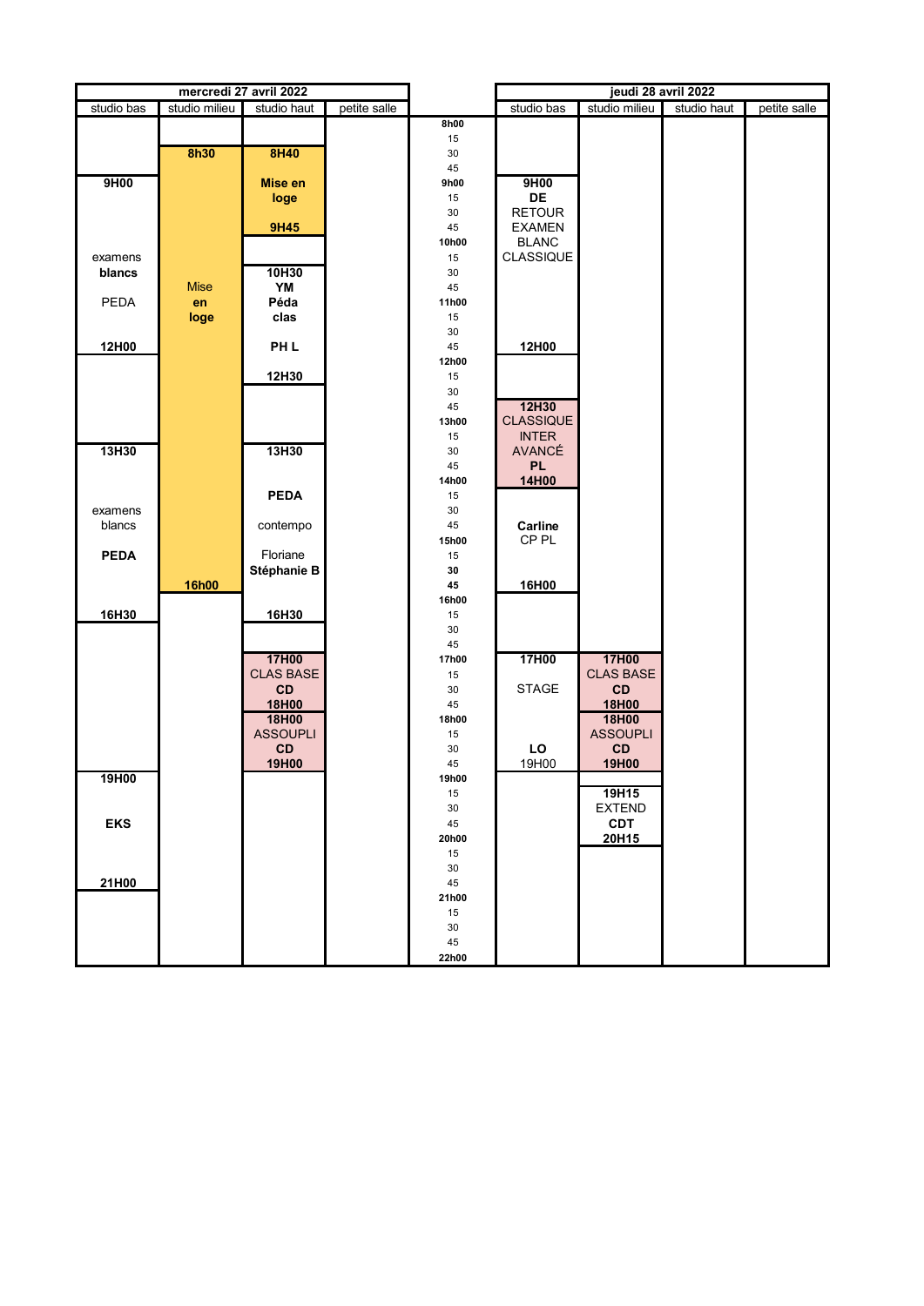| mercredi 27 avril 2022                                                                    | jeudi 28 avril 2022         |
|-------------------------------------------------------------------------------------------|-----------------------------|
| studio bas<br>studio milieu<br>studio bas<br>studio milieu<br>petite salle<br>studio haut | studio haut<br>petite salle |
| 8h00                                                                                      |                             |
| 15                                                                                        |                             |
| <b>8h30</b><br>8H40<br>30                                                                 |                             |
| 45                                                                                        |                             |
| 9H00<br>9H00<br><b>Mise en</b><br>9h00                                                    |                             |
| DE<br>15<br>loge                                                                          |                             |
| <b>RETOUR</b><br>30<br><b>9H45</b><br>45<br><b>EXAMEN</b>                                 |                             |
| 10h00<br><b>BLANC</b>                                                                     |                             |
| CLASSIQUE<br>15<br>examens                                                                |                             |
| 10H30<br>blancs<br>30                                                                     |                             |
| <b>Mise</b><br>YM<br>45                                                                   |                             |
| PEDA<br>Péda<br>en<br>11h00                                                               |                             |
| clas<br>loge<br>15                                                                        |                             |
| 30                                                                                        |                             |
| 12H00<br>PH <sub>L</sub><br>45<br>12H00                                                   |                             |
| 12h00                                                                                     |                             |
| 12H30<br>15                                                                               |                             |
| 30                                                                                        |                             |
| 12H30<br>45                                                                               |                             |
| <b>CLASSIQUE</b><br>13h00                                                                 |                             |
| <b>INTER</b><br>15                                                                        |                             |
| 13H30<br>13H30<br><b>AVANCÉ</b><br>30                                                     |                             |
| <b>PL</b><br>45                                                                           |                             |
| 14H00<br>14h00                                                                            |                             |
| <b>PEDA</b><br>15                                                                         |                             |
| examens<br>30                                                                             |                             |
| blancs<br>45<br>Carline<br>contempo                                                       |                             |
| CP <sub>PL</sub><br>15h00                                                                 |                             |
| <b>PEDA</b><br>Floriane<br>15<br>Stéphanie B<br>30                                        |                             |
| 16h00<br>45<br>16H00                                                                      |                             |
| 16h00                                                                                     |                             |
| 16H30<br>16H30<br>15                                                                      |                             |
| 30                                                                                        |                             |
| 45                                                                                        |                             |
| 17H00<br>17H00<br>17H00<br>17h00                                                          |                             |
| <b>CLAS BASE</b><br><b>CLAS BASE</b><br>15                                                |                             |
| CD<br><b>STAGE</b><br>CD<br>30                                                            |                             |
| 18H00<br>18H00<br>45                                                                      |                             |
| 18H00<br>18H00<br>18h00                                                                   |                             |
| <b>ASSOUPLI</b><br><b>ASSOUPLI</b><br>$15\,$                                              |                             |
| CD<br>CD<br>30<br>LO                                                                      |                             |
| 19H00<br>19H00<br>19H00<br>45                                                             |                             |
| 19H00<br>19h00                                                                            |                             |
| 19H15<br>15                                                                               |                             |
| <b>EXTEND</b><br>30                                                                       |                             |
| <b>EKS</b><br><b>CDT</b><br>45                                                            |                             |
| 20H15<br>20h00                                                                            |                             |
| 15                                                                                        |                             |
| 30<br>21H00<br>45                                                                         |                             |
| 21h00                                                                                     |                             |
| 15                                                                                        |                             |
| 30                                                                                        |                             |
| 45                                                                                        |                             |
| 22h00                                                                                     |                             |